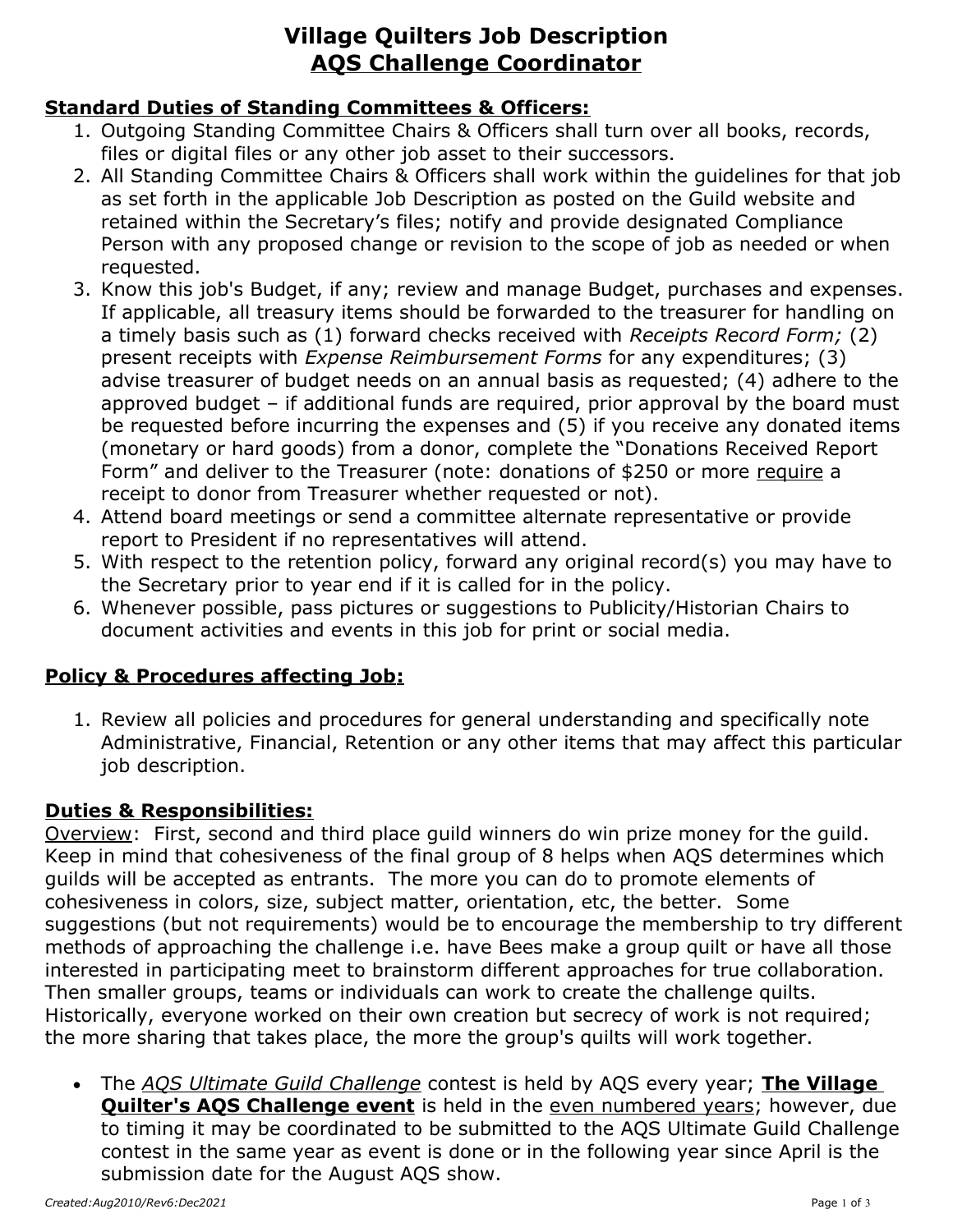# **Village Quilters Job Description AQS Challenge Coordinator**

#### **Standard Duties of Standing Committees & Officers:**

- 1. Outgoing Standing Committee Chairs & Officers shall turn over all books, records, files or digital files or any other job asset to their successors.
- 2. All Standing Committee Chairs & Officers shall work within the guidelines for that job as set forth in the applicable Job Description as posted on the Guild website and retained within the Secretary's files; notify and provide designated Compliance Person with any proposed change or revision to the scope of job as needed or when requested.
- 3. Know this job's Budget, if any; review and manage Budget, purchases and expenses. If applicable, all treasury items should be forwarded to the treasurer for handling on a timely basis such as (1) forward checks received with *Receipts Record Form;* (2) present receipts with *Expense Reimbursement Forms* for any expenditures; (3) advise treasurer of budget needs on an annual basis as requested; (4) adhere to the approved budget – if additional funds are required, prior approval by the board must be requested before incurring the expenses and (5) if you receive any donated items (monetary or hard goods) from a donor, complete the "Donations Received Report Form" and deliver to the Treasurer (note: donations of \$250 or more require a receipt to donor from Treasurer whether requested or not).
- 4. Attend board meetings or send a committee alternate representative or provide report to President if no representatives will attend.
- 5. With respect to the retention policy, forward any original record(s) you may have to the Secretary prior to year end if it is called for in the policy.
- 6. Whenever possible, pass pictures or suggestions to Publicity/Historian Chairs to document activities and events in this job for print or social media.

### **Policy & Procedures affecting Job:**

1. Review all policies and procedures for general understanding and specifically note Administrative, Financial, Retention or any other items that may affect this particular job description.

### **Duties & Responsibilities:**

Overview: First, second and third place guild winners do win prize money for the guild. Keep in mind that cohesiveness of the final group of 8 helps when AQS determines which guilds will be accepted as entrants. The more you can do to promote elements of cohesiveness in colors, size, subject matter, orientation, etc, the better. Some suggestions (but not requirements) would be to encourage the membership to try different methods of approaching the challenge i.e. have Bees make a group quilt or have all those interested in participating meet to brainstorm different approaches for true collaboration. Then smaller groups, teams or individuals can work to create the challenge quilts. Historically, everyone worked on their own creation but secrecy of work is not required; the more sharing that takes place, the more the group's quilts will work together.

 The *AQS Ultimate Guild Challenge* contest is held by AQS every year; **The Village Quilter's AQS Challenge event** is held in the even numbered years; however, due to timing it may be coordinated to be submitted to the AQS Ultimate Guild Challenge contest in the same year as event is done or in the following year since April is the submission date for the August AQS show.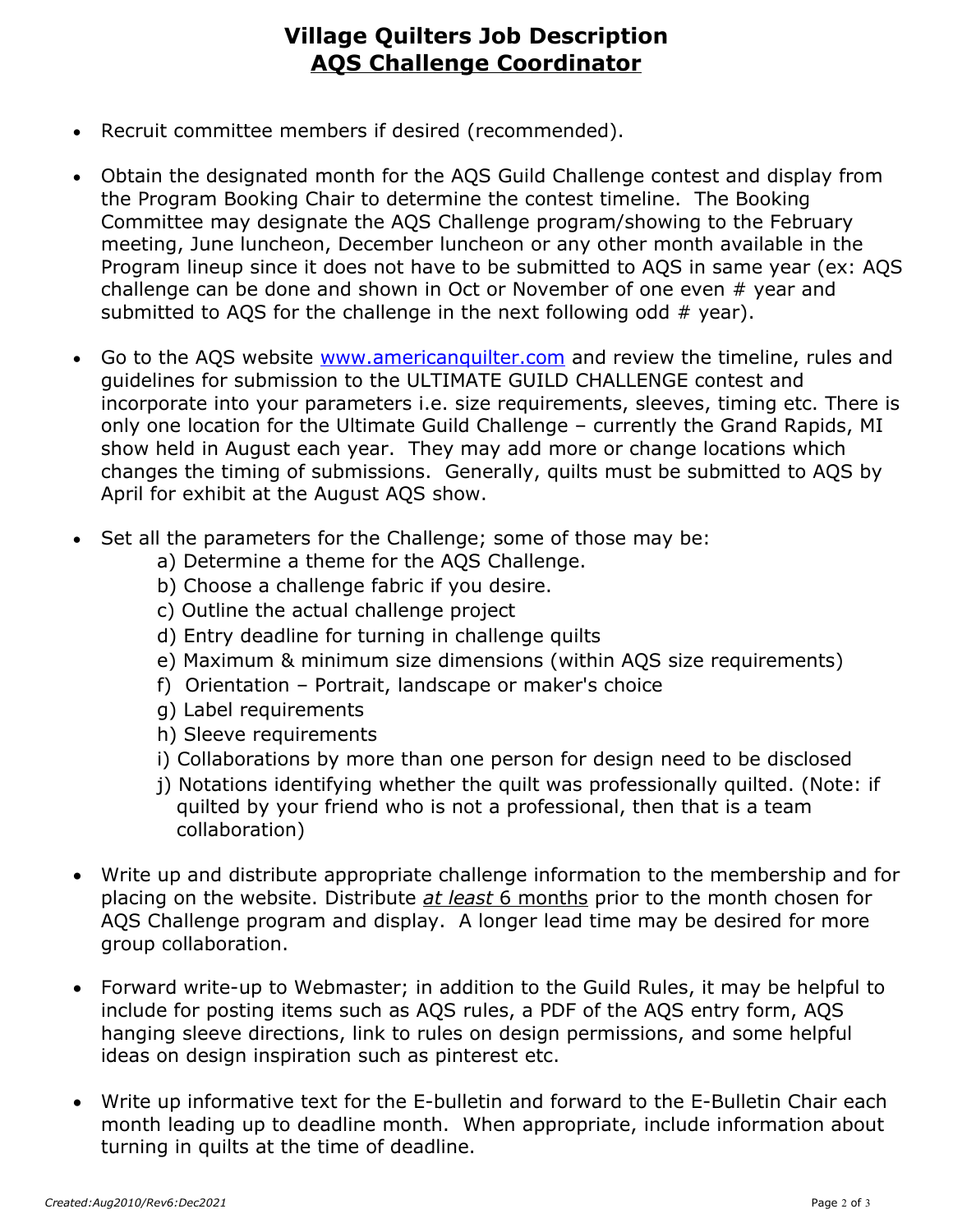## **Village Quilters Job Description AQS Challenge Coordinator**

- Recruit committee members if desired (recommended).
- Obtain the designated month for the AQS Guild Challenge contest and display from the Program Booking Chair to determine the contest timeline. The Booking Committee may designate the AQS Challenge program/showing to the February meeting, June luncheon, December luncheon or any other month available in the Program lineup since it does not have to be submitted to AQS in same year (ex: AQS challenge can be done and shown in Oct or November of one even # year and submitted to AQS for the challenge in the next following odd  $#$  year).
- Go to the AQS website [www.americanquilter.com](http://www.americanquilter.com/) and review the timeline, rules and guidelines for submission to the ULTIMATE GUILD CHALLENGE contest and incorporate into your parameters i.e. size requirements, sleeves, timing etc. There is only one location for the Ultimate Guild Challenge – currently the Grand Rapids, MI show held in August each year. They may add more or change locations which changes the timing of submissions. Generally, quilts must be submitted to AQS by April for exhibit at the August AQS show.
- Set all the parameters for the Challenge; some of those may be:
	- a) Determine a theme for the AQS Challenge.
	- b) Choose a challenge fabric if you desire.
	- c) Outline the actual challenge project
	- d) Entry deadline for turning in challenge quilts
	- e) Maximum & minimum size dimensions (within AQS size requirements)
	- f) Orientation Portrait, landscape or maker's choice
	- g) Label requirements
	- h) Sleeve requirements
	- i) Collaborations by more than one person for design need to be disclosed
	- j) Notations identifying whether the quilt was professionally quilted. (Note: if quilted by your friend who is not a professional, then that is a team collaboration)
- Write up and distribute appropriate challenge information to the membership and for placing on the website. Distribute *at least* 6 months prior to the month chosen for AQS Challenge program and display. A longer lead time may be desired for more group collaboration.
- Forward write-up to Webmaster; in addition to the Guild Rules, it may be helpful to include for posting items such as AQS rules, a PDF of the AQS entry form, AQS hanging sleeve directions, link to rules on design permissions, and some helpful ideas on design inspiration such as pinterest etc.
- Write up informative text for the E-bulletin and forward to the E-Bulletin Chair each month leading up to deadline month. When appropriate, include information about turning in quilts at the time of deadline.